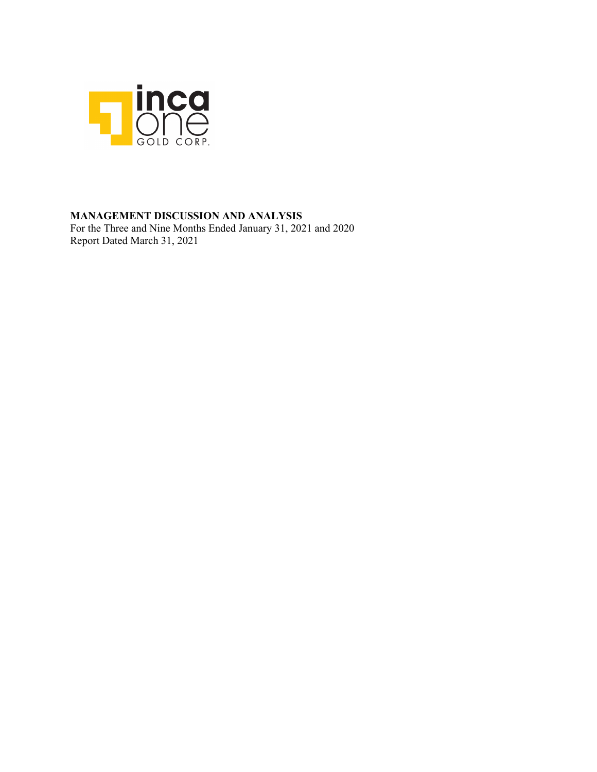

### **MANAGEMENT DISCUSSION AND ANALYSIS**

For the Three and Nine Months Ended January 31, 2021 and 2020 Report Dated March 31, 2021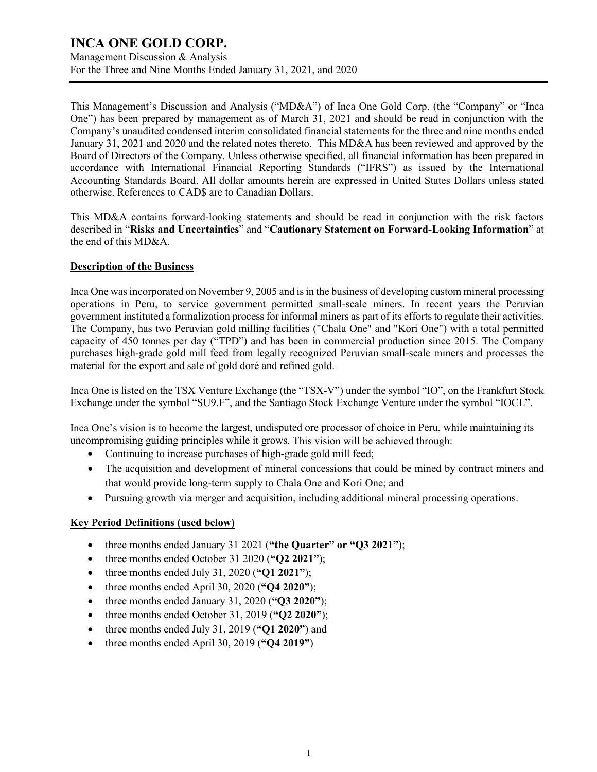Management Discussion & Analysis For the Three and Nine Months Ended January 31, 2021, and 2020

This Management's Discussion and Analysis ("MD&A") of Inca One Gold Corp. (the "Company" or "Inca One") has been prepared by management as of March 31, 2021 and should be read in conjunction with the Company's unaudited condensed interim consolidated financial statements for the three and nine months ended January 31, 2021 and 2020 and the related notes thereto. This MD&A has been reviewed and approved by the Board of Directors of the Company. Unless otherwise specified, all financial information has been prepared in accordance with International Financial Reporting Standards ("IFRS") as issued by the International Accounting Standards Board. All dollar amounts herein are expressed in United States Dollars unless stated otherwise. References to CAD\$ are to Canadian Dollars.

This MD&A contains forward-looking statements and should be read in conjunction with the risk factors described in "**Risks and Uncertainties**" and "**Cautionary Statement on Forward-Looking Information**" at the end of this MD&A.

#### **Description of the Business**

Inca One was incorporated on November 9, 2005 and is in the business of developing custom mineral processing operations in Peru, to service government permitted small-scale miners. In recent years the Peruvian government instituted a formalization process for informal miners as part of its efforts to regulate their activities. The Company, has two Peruvian gold milling facilities ("Chala One" and "Kori One") with a total permitted capacity of 450 tonnes per day ("TPD") and has been in commercial production since 2015. The Company purchases high-grade gold mill feed from legally recognized Peruvian small-scale miners and processes the material for the export and sale of gold doré and refined gold.

Inca One is listed on the TSX Venture Exchange (the "TSX-V") under the symbol "IO", on the Frankfurt Stock Exchange under the symbol "SU9.F", and the Santiago Stock Exchange Venture under the symbol "IOCL".

Inca One's vision is to become the largest, undisputed ore processor of choice in Peru, while maintaining its uncompromising guiding principles while it grows. This vision will be achieved through:

- Continuing to increase purchases of high-grade gold mill feed;
- The acquisition and development of mineral concessions that could be mined by contract miners and that would provide long-term supply to Chala One and Kori One; and
- Pursuing growth via merger and acquisition, including additional mineral processing operations.

### **Key Period Definitions (used below)**

- three months ended January 31 2021 (**"the Quarter" or "Q3 2021"**);
- three months ended October 31 2020 (**"Q2 2021"**);
- three months ended July 31, 2020 (**"Q1 2021"**);
- three months ended April 30, 2020 (**"Q4 2020"**);
- three months ended January 31, 2020 (**"Q3 2020"**);
- three months ended October 31, 2019 (**"Q2 2020"**);
- three months ended July 31, 2019 (**"Q1 2020"**) and
- three months ended April 30, 2019 (**"Q4 2019"**)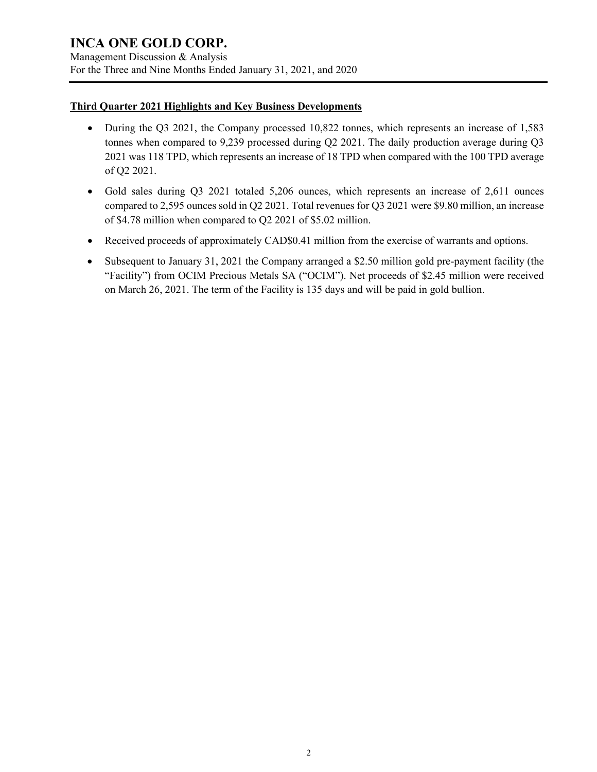Management Discussion & Analysis For the Three and Nine Months Ended January 31, 2021, and 2020

#### **Third Quarter 2021 Highlights and Key Business Developments**

- During the Q3 2021, the Company processed 10,822 tonnes, which represents an increase of 1,583 tonnes when compared to 9,239 processed during Q2 2021. The daily production average during Q3 2021 was 118 TPD, which represents an increase of 18 TPD when compared with the 100 TPD average of Q2 2021.
- Gold sales during Q3 2021 totaled 5,206 ounces, which represents an increase of 2,611 ounces compared to 2,595 ounces sold in Q2 2021. Total revenues for Q3 2021 were \$9.80 million, an increase of \$4.78 million when compared to Q2 2021 of \$5.02 million.
- Received proceeds of approximately CAD\$0.41 million from the exercise of warrants and options.
- Subsequent to January 31, 2021 the Company arranged a \$2.50 million gold pre-payment facility (the "Facility") from OCIM Precious Metals SA ("OCIM"). Net proceeds of \$2.45 million were received on March 26, 2021. The term of the Facility is 135 days and will be paid in gold bullion.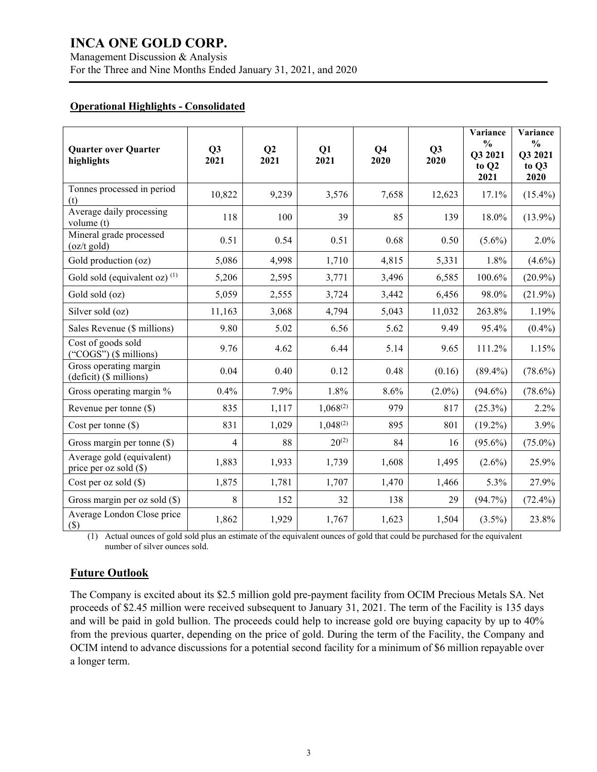Management Discussion & Analysis For the Three and Nine Months Ended January 31, 2021, and 2020

#### **Operational Highlights - Consolidated**

| <b>Quarter over Quarter</b><br>highlights             | Q3<br>2021     | Q <sub>2</sub><br>2021 | Q1<br>2021    | Q <sub>4</sub><br>2020 | Q <sub>3</sub><br>2020 | Variance<br>$\frac{0}{0}$<br>Q3 2021<br>to Q2<br>2021 | Variance<br>$\frac{0}{0}$<br>Q3 2021<br>to Q3<br>2020 |
|-------------------------------------------------------|----------------|------------------------|---------------|------------------------|------------------------|-------------------------------------------------------|-------------------------------------------------------|
| Tonnes processed in period<br>(t)                     | 10,822         | 9,239                  | 3,576         | 7,658                  | 12,623                 | 17.1%                                                 | $(15.4\%)$                                            |
| Average daily processing<br>volume (t)                | 118            | 100                    | 39            | 85                     | 139                    | 18.0%                                                 | $(13.9\%)$                                            |
| Mineral grade processed<br>$(oz/t$ gold)              | 0.51           | 0.54                   | 0.51          | 0.68                   | 0.50                   | $(5.6\%)$                                             | 2.0%                                                  |
| Gold production (oz)                                  | 5,086          | 4,998                  | 1,710         | 4,815                  | 5,331                  | 1.8%                                                  | $(4.6\%)$                                             |
| Gold sold (equivalent oz) $(1)$                       | 5,206          | 2,595                  | 3,771         | 3,496                  | 6,585                  | 100.6%                                                | $(20.9\%)$                                            |
| Gold sold (oz)                                        | 5,059          | 2,555                  | 3,724         | 3,442                  | 6,456                  | 98.0%                                                 | $(21.9\%)$                                            |
| Silver sold (oz)                                      | 11,163         | 3,068                  | 4,794         | 5,043                  | 11,032                 | 263.8%                                                | 1.19%                                                 |
| Sales Revenue (\$ millions)                           | 9.80           | 5.02                   | 6.56          | 5.62                   | 9.49                   | 95.4%                                                 | $(0.4\%)$                                             |
| Cost of goods sold<br>("COGS") $($$ millions)         | 9.76           | 4.62                   | 6.44          | 5.14                   | 9.65                   | 111.2%                                                | 1.15%                                                 |
| Gross operating margin<br>(deficit) (\$ millions)     | 0.04           | 0.40                   | 0.12          | 0.48                   | (0.16)                 | $(89.4\%)$                                            | $(78.6\%)$                                            |
| Gross operating margin %                              | 0.4%           | 7.9%                   | 1.8%          | 8.6%                   | $(2.0\%)$              | $(94.6\%)$                                            | $(78.6\%)$                                            |
| Revenue per tonne (\$)                                | 835            | 1,117                  | $1,068^{(2)}$ | 979                    | 817                    | $(25.3\%)$                                            | 2.2%                                                  |
| Cost per tonne $(\$)$                                 | 831            | 1,029                  | $1,048^{(2)}$ | 895                    | 801                    | $(19.2\%)$                                            | 3.9%                                                  |
| Gross margin per tonne (\$)                           | $\overline{4}$ | 88                     | $20^{(2)}$    | 84                     | 16                     | $(95.6\%)$                                            | $(75.0\%)$                                            |
| Average gold (equivalent)<br>price per oz sold $(\$)$ | 1,883          | 1,933                  | 1,739         | 1,608                  | 1,495                  | $(2.6\%)$                                             | 25.9%                                                 |
| Cost per oz sold $(\$)$                               | 1,875          | 1,781                  | 1,707         | 1,470                  | 1,466                  | 5.3%                                                  | 27.9%                                                 |
| Gross margin per oz sold $(\$)$                       | 8              | 152                    | 32            | 138                    | 29                     | $(94.7\%)$                                            | $(72.4\%)$                                            |
| Average London Close price<br>$($)$                   | 1,862          | 1,929                  | 1,767         | 1,623                  | 1,504                  | $(3.5\%)$                                             | 23.8%                                                 |

(1) Actual ounces of gold sold plus an estimate of the equivalent ounces of gold that could be purchased for the equivalent number of silver ounces sold.

### **Future Outlook**

The Company is excited about its \$2.5 million gold pre-payment facility from OCIM Precious Metals SA. Net proceeds of \$2.45 million were received subsequent to January 31, 2021. The term of the Facility is 135 days and will be paid in gold bullion. The proceeds could help to increase gold ore buying capacity by up to 40% from the previous quarter, depending on the price of gold. During the term of the Facility, the Company and OCIM intend to advance discussions for a potential second facility for a minimum of \$6 million repayable over a longer term.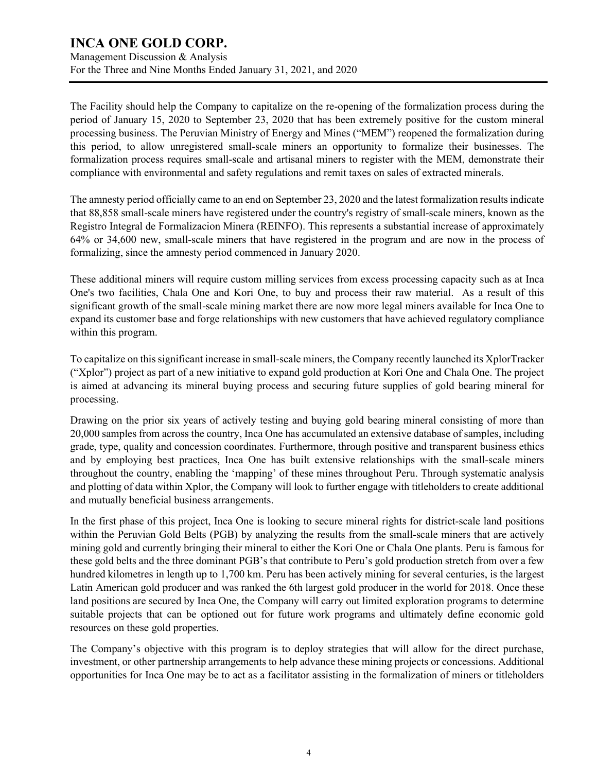Management Discussion & Analysis For the Three and Nine Months Ended January 31, 2021, and 2020

The Facility should help the Company to capitalize on the re-opening of the formalization process during the period of January 15, 2020 to September 23, 2020 that has been extremely positive for the custom mineral processing business. The Peruvian Ministry of Energy and Mines ("MEM") reopened the formalization during this period, to allow unregistered small-scale miners an opportunity to formalize their businesses. The formalization process requires small-scale and artisanal miners to register with the MEM, demonstrate their compliance with environmental and safety regulations and remit taxes on sales of extracted minerals.

The amnesty period officially came to an end on September 23, 2020 and the latest formalization results indicate that 88,858 small-scale miners have registered under the country's registry of small-scale miners, known as the Registro Integral de Formalizacion Minera (REINFO). This represents a substantial increase of approximately 64% or 34,600 new, small-scale miners that have registered in the program and are now in the process of formalizing, since the amnesty period commenced in January 2020.

These additional miners will require custom milling services from excess processing capacity such as at Inca One's two facilities, Chala One and Kori One, to buy and process their raw material. As a result of this significant growth of the small-scale mining market there are now more legal miners available for Inca One to expand its customer base and forge relationships with new customers that have achieved regulatory compliance within this program.

To capitalize on this significant increase in small-scale miners, the Company recently launched its XplorTracker ("Xplor") project as part of a new initiative to expand gold production at Kori One and Chala One. The project is aimed at advancing its mineral buying process and securing future supplies of gold bearing mineral for processing.

Drawing on the prior six years of actively testing and buying gold bearing mineral consisting of more than 20,000 samples from across the country, Inca One has accumulated an extensive database of samples, including grade, type, quality and concession coordinates. Furthermore, through positive and transparent business ethics and by employing best practices, Inca One has built extensive relationships with the small-scale miners throughout the country, enabling the 'mapping' of these mines throughout Peru. Through systematic analysis and plotting of data within Xplor, the Company will look to further engage with titleholders to create additional and mutually beneficial business arrangements.

In the first phase of this project, Inca One is looking to secure mineral rights for district-scale land positions within the Peruvian Gold Belts (PGB) by analyzing the results from the small-scale miners that are actively mining gold and currently bringing their mineral to either the Kori One or Chala One plants. Peru is famous for these gold belts and the three dominant PGB's that contribute to Peru's gold production stretch from over a few hundred kilometres in length up to 1,700 km. Peru has been actively mining for several centuries, is the largest Latin American gold producer and was ranked the 6th largest gold producer in the world for 2018. Once these land positions are secured by Inca One, the Company will carry out limited exploration programs to determine suitable projects that can be optioned out for future work programs and ultimately define economic gold resources on these gold properties.

The Company's objective with this program is to deploy strategies that will allow for the direct purchase, investment, or other partnership arrangements to help advance these mining projects or concessions. Additional opportunities for Inca One may be to act as a facilitator assisting in the formalization of miners or titleholders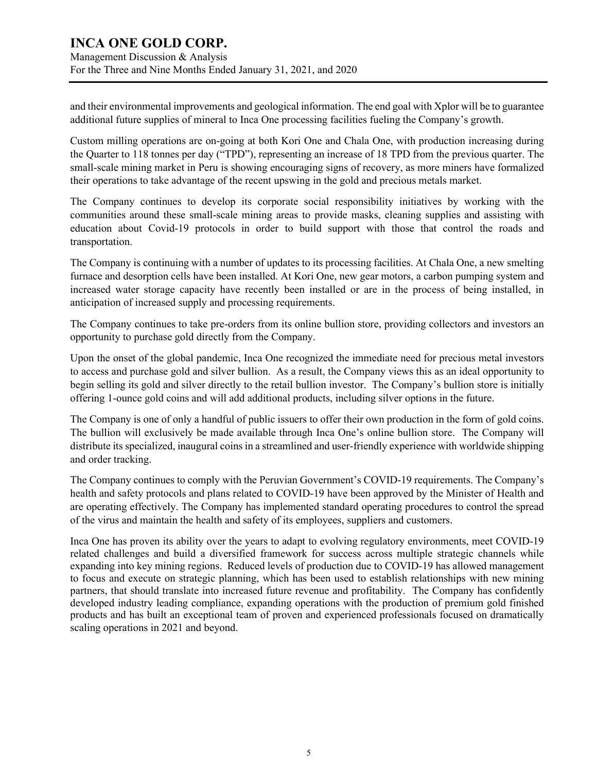and their environmental improvements and geological information. The end goal with Xplor will be to guarantee additional future supplies of mineral to Inca One processing facilities fueling the Company's growth.

Custom milling operations are on-going at both Kori One and Chala One, with production increasing during the Quarter to 118 tonnes per day ("TPD"), representing an increase of 18 TPD from the previous quarter. The small-scale mining market in Peru is showing encouraging signs of recovery, as more miners have formalized their operations to take advantage of the recent upswing in the gold and precious metals market.

The Company continues to develop its corporate social responsibility initiatives by working with the communities around these small-scale mining areas to provide masks, cleaning supplies and assisting with education about Covid-19 protocols in order to build support with those that control the roads and transportation.

The Company is continuing with a number of updates to its processing facilities. At Chala One, a new smelting furnace and desorption cells have been installed. At Kori One, new gear motors, a carbon pumping system and increased water storage capacity have recently been installed or are in the process of being installed, in anticipation of increased supply and processing requirements.

The Company continues to take pre-orders from its online bullion store, providing collectors and investors an opportunity to purchase gold directly from the Company.

Upon the onset of the global pandemic, Inca One recognized the immediate need for precious metal investors to access and purchase gold and silver bullion. As a result, the Company views this as an ideal opportunity to begin selling its gold and silver directly to the retail bullion investor. The Company's bullion store is initially offering 1-ounce gold coins and will add additional products, including silver options in the future.

The Company is one of only a handful of public issuers to offer their own production in the form of gold coins. The bullion will exclusively be made available through Inca One's online bullion store. The Company will distribute its specialized, inaugural coins in a streamlined and user-friendly experience with worldwide shipping and order tracking.

The Company continues to comply with the Peruvian Government's COVID-19 requirements. The Company's health and safety protocols and plans related to COVID-19 have been approved by the Minister of Health and are operating effectively. The Company has implemented standard operating procedures to control the spread of the virus and maintain the health and safety of its employees, suppliers and customers.

Inca One has proven its ability over the years to adapt to evolving regulatory environments, meet COVID-19 related challenges and build a diversified framework for success across multiple strategic channels while expanding into key mining regions. Reduced levels of production due to COVID-19 has allowed management to focus and execute on strategic planning, which has been used to establish relationships with new mining partners, that should translate into increased future revenue and profitability. The Company has confidently developed industry leading compliance, expanding operations with the production of premium gold finished products and has built an exceptional team of proven and experienced professionals focused on dramatically scaling operations in 2021 and beyond.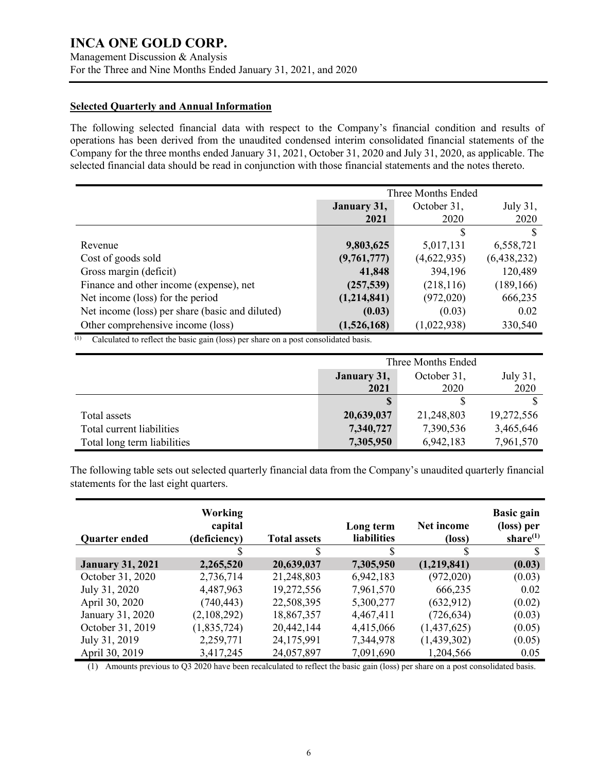Management Discussion & Analysis For the Three and Nine Months Ended January 31, 2021, and 2020

#### **Selected Quarterly and Annual Information**

The following selected financial data with respect to the Company's financial condition and results of operations has been derived from the unaudited condensed interim consolidated financial statements of the Company for the three months ended January 31, 2021, October 31, 2020 and July 31, 2020, as applicable. The selected financial data should be read in conjunction with those financial statements and the notes thereto.

|                                                 | Three Months Ended                     |             |             |  |
|-------------------------------------------------|----------------------------------------|-------------|-------------|--|
|                                                 | October 31,<br>July 31,<br>January 31, |             |             |  |
|                                                 | 2021                                   | 2020        | 2020        |  |
|                                                 |                                        | S           | S           |  |
| Revenue                                         | 9,803,625                              | 5,017,131   | 6,558,721   |  |
| Cost of goods sold                              | (9,761,777)                            | (4,622,935) | (6,438,232) |  |
| Gross margin (deficit)                          | 41,848                                 | 394,196     | 120,489     |  |
| Finance and other income (expense), net         | (257, 539)                             | (218, 116)  | (189, 166)  |  |
| Net income (loss) for the period                | (1,214,841)                            | (972,020)   | 666,235     |  |
| Net income (loss) per share (basic and diluted) | (0.03)                                 | (0.03)      | 0.02        |  |
| Other comprehensive income (loss)               | (1,526,168)                            | (1,022,938) | 330,540     |  |

 $\overline{^{(1)}}$  Calculated to reflect the basic gain (loss) per share on a post consolidated basis.

|                             | Three Months Ended                     |            |            |  |
|-----------------------------|----------------------------------------|------------|------------|--|
|                             | October 31,<br>July 31,<br>January 31, |            |            |  |
|                             | 2020<br>2021<br>2020                   |            |            |  |
|                             |                                        |            |            |  |
| Total assets                | 20,639,037                             | 21,248,803 | 19,272,556 |  |
| Total current liabilities   | 7,340,727                              | 7,390,536  | 3,465,646  |  |
| Total long term liabilities | 7,305,950                              | 6,942,183  | 7,961,570  |  |

The following table sets out selected quarterly financial data from the Company's unaudited quarterly financial statements for the last eight quarters.

| <b>Quarter ended</b>    | <b>Working</b><br>capital<br>(deficiency) | <b>Total assets</b> | Long term<br><b>liabilities</b> | Net income<br>(loss) | <b>Basic gain</b><br>(loss) per<br>share $(1)$ |
|-------------------------|-------------------------------------------|---------------------|---------------------------------|----------------------|------------------------------------------------|
|                         |                                           |                     | S                               |                      |                                                |
| <b>January 31, 2021</b> | 2,265,520                                 | 20,639,037          | 7,305,950                       | (1,219,841)          | (0.03)                                         |
| October 31, 2020        | 2,736,714                                 | 21,248,803          | 6,942,183                       | (972,020)            | (0.03)                                         |
| July 31, 2020           | 4,487,963                                 | 19,272,556          | 7,961,570                       | 666,235              | 0.02                                           |
| April 30, 2020          | (740, 443)                                | 22,508,395          | 5,300,277                       | (632, 912)           | (0.02)                                         |
| January 31, 2020        | (2,108,292)                               | 18,867,357          | 4,467,411                       | (726, 634)           | (0.03)                                         |
| October 31, 2019        | (1,835,724)                               | 20,442,144          | 4,415,066                       | (1,437,625)          | (0.05)                                         |
| July 31, 2019           | 2,259,771                                 | 24,175,991          | 7,344,978                       | (1,439,302)          | (0.05)                                         |
| April 30, 2019          | 3,417,245                                 | 24,057,897          | 7,091,690                       | 1,204,566            | 0.05                                           |

(1) Amounts previous to Q3 2020 have been recalculated to reflect the basic gain (loss) per share on a post consolidated basis.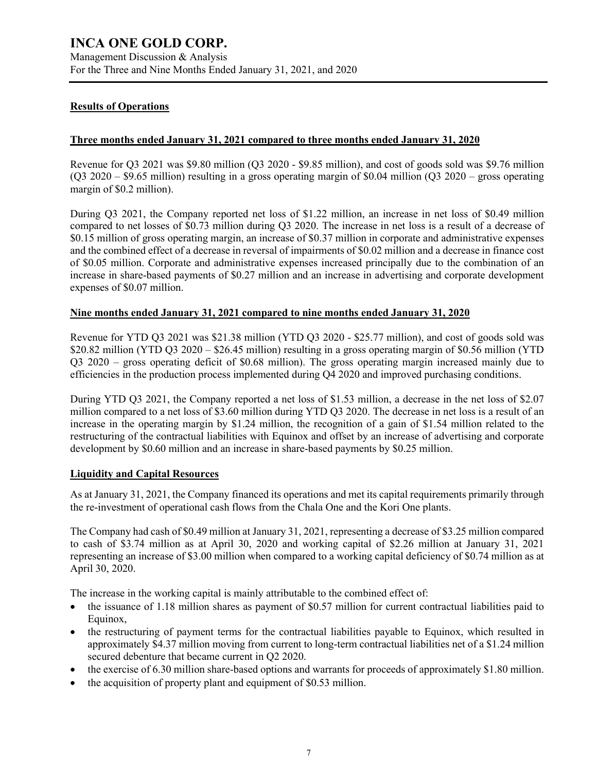#### **Results of Operations**

#### **Three months ended January 31, 2021 compared to three months ended January 31, 2020**

Revenue for Q3 2021 was \$9.80 million (Q3 2020 - \$9.85 million), and cost of goods sold was \$9.76 million (Q3 2020 – \$9.65 million) resulting in a gross operating margin of \$0.04 million (Q3 2020 – gross operating margin of \$0.2 million).

During Q3 2021, the Company reported net loss of \$1.22 million, an increase in net loss of \$0.49 million compared to net losses of \$0.73 million during Q3 2020. The increase in net loss is a result of a decrease of \$0.15 million of gross operating margin, an increase of \$0.37 million in corporate and administrative expenses and the combined effect of a decrease in reversal of impairments of \$0.02 million and a decrease in finance cost of \$0.05 million. Corporate and administrative expenses increased principally due to the combination of an increase in share-based payments of \$0.27 million and an increase in advertising and corporate development expenses of \$0.07 million.

#### **Nine months ended January 31, 2021 compared to nine months ended January 31, 2020**

Revenue for YTD Q3 2021 was \$21.38 million (YTD Q3 2020 - \$25.77 million), and cost of goods sold was \$20.82 million (YTD Q3 2020 – \$26.45 million) resulting in a gross operating margin of \$0.56 million (YTD Q3 2020 – gross operating deficit of \$0.68 million). The gross operating margin increased mainly due to efficiencies in the production process implemented during Q4 2020 and improved purchasing conditions.

During YTD Q3 2021, the Company reported a net loss of \$1.53 million, a decrease in the net loss of \$2.07 million compared to a net loss of \$3.60 million during YTD Q3 2020. The decrease in net loss is a result of an increase in the operating margin by \$1.24 million, the recognition of a gain of \$1.54 million related to the restructuring of the contractual liabilities with Equinox and offset by an increase of advertising and corporate development by \$0.60 million and an increase in share-based payments by \$0.25 million.

#### **Liquidity and Capital Resources**

As at January 31, 2021, the Company financed its operations and met its capital requirements primarily through the re-investment of operational cash flows from the Chala One and the Kori One plants.

The Company had cash of \$0.49 million at January 31, 2021, representing a decrease of \$3.25 million compared to cash of \$3.74 million as at April 30, 2020 and working capital of \$2.26 million at January 31, 2021 representing an increase of \$3.00 million when compared to a working capital deficiency of \$0.74 million as at April 30, 2020.

The increase in the working capital is mainly attributable to the combined effect of:

- the issuance of 1.18 million shares as payment of \$0.57 million for current contractual liabilities paid to Equinox,
- the restructuring of payment terms for the contractual liabilities payable to Equinox, which resulted in approximately \$4.37 million moving from current to long-term contractual liabilities net of a \$1.24 million secured debenture that became current in Q2 2020.
- the exercise of 6.30 million share-based options and warrants for proceeds of approximately \$1.80 million.
- the acquisition of property plant and equipment of \$0.53 million.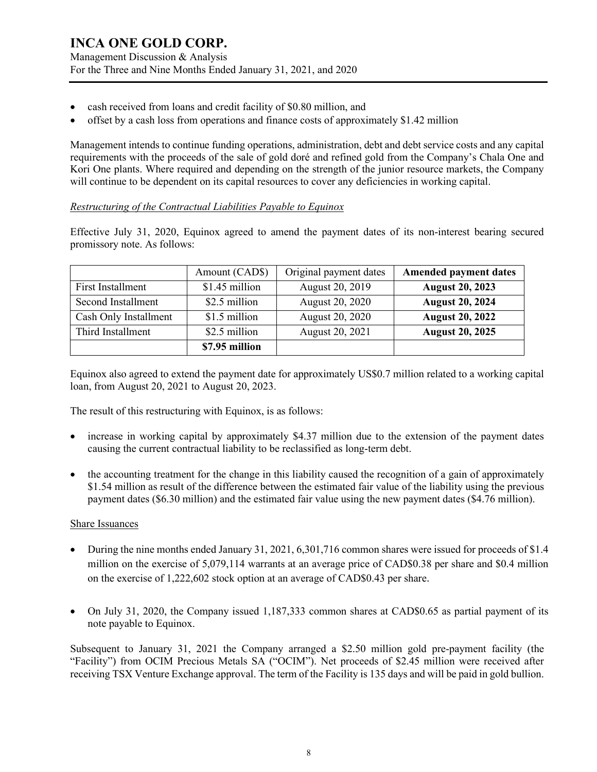- cash received from loans and credit facility of \$0.80 million, and
- offset by a cash loss from operations and finance costs of approximately \$1.42 million

Management intends to continue funding operations, administration, debt and debt service costs and any capital requirements with the proceeds of the sale of gold doré and refined gold from the Company's Chala One and Kori One plants. Where required and depending on the strength of the junior resource markets, the Company will continue to be dependent on its capital resources to cover any deficiencies in working capital.

#### *Restructuring of the Contractual Liabilities Payable to Equinox*

Effective July 31, 2020, Equinox agreed to amend the payment dates of its non-interest bearing secured promissory note. As follows:

|                       | Amount (CAD\$) | Original payment dates | <b>Amended payment dates</b> |
|-----------------------|----------------|------------------------|------------------------------|
| First Installment     | \$1.45 million | August 20, 2019        | <b>August 20, 2023</b>       |
| Second Installment    | \$2.5 million  | August 20, 2020        | <b>August 20, 2024</b>       |
| Cash Only Installment | \$1.5 million  | August 20, 2020        | <b>August 20, 2022</b>       |
| Third Installment     | \$2.5 million  | August 20, 2021        | <b>August 20, 2025</b>       |
|                       | \$7.95 million |                        |                              |

Equinox also agreed to extend the payment date for approximately US\$0.7 million related to a working capital loan, from August 20, 2021 to August 20, 2023.

The result of this restructuring with Equinox, is as follows:

- increase in working capital by approximately \$4.37 million due to the extension of the payment dates causing the current contractual liability to be reclassified as long-term debt.
- the accounting treatment for the change in this liability caused the recognition of a gain of approximately \$1.54 million as result of the difference between the estimated fair value of the liability using the previous payment dates (\$6.30 million) and the estimated fair value using the new payment dates (\$4.76 million).

#### Share Issuances

- During the nine months ended January 31, 2021, 6,301,716 common shares were issued for proceeds of \$1.4 million on the exercise of 5,079,114 warrants at an average price of CAD\$0.38 per share and \$0.4 million on the exercise of 1,222,602 stock option at an average of CAD\$0.43 per share.
- On July 31, 2020, the Company issued 1,187,333 common shares at CAD\$0.65 as partial payment of its note payable to Equinox.

Subsequent to January 31, 2021 the Company arranged a \$2.50 million gold pre-payment facility (the "Facility") from OCIM Precious Metals SA ("OCIM"). Net proceeds of \$2.45 million were received after receiving TSX Venture Exchange approval. The term of the Facility is 135 days and will be paid in gold bullion.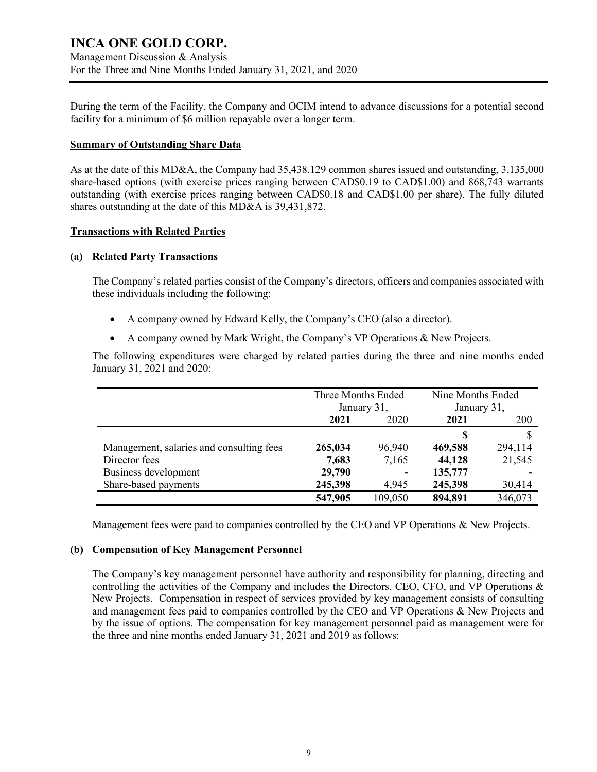### **INCA ONE GOLD CORP.** Management Discussion & Analysis For the Three and Nine Months Ended January 31, 2021, and 2020

During the term of the Facility, the Company and OCIM intend to advance discussions for a potential second facility for a minimum of \$6 million repayable over a longer term.

#### **Summary of Outstanding Share Data**

As at the date of this MD&A, the Company had 35,438,129 common shares issued and outstanding, 3,135,000 share-based options (with exercise prices ranging between CAD\$0.19 to CAD\$1.00) and 868,743 warrants outstanding (with exercise prices ranging between CAD\$0.18 and CAD\$1.00 per share). The fully diluted shares outstanding at the date of this MD&A is 39,431,872.

#### **Transactions with Related Parties**

#### **(a) Related Party Transactions**

The Company's related parties consist of the Company's directors, officers and companies associated with these individuals including the following:

- A company owned by Edward Kelly, the Company's CEO (also a director).
- A company owned by Mark Wright, the Company`s VP Operations & New Projects.

The following expenditures were charged by related parties during the three and nine months ended January 31, 2021 and 2020:

|                                          | Three Months Ended<br>January 31, |         | Nine Months Ended<br>January 31, |            |
|------------------------------------------|-----------------------------------|---------|----------------------------------|------------|
|                                          | 2021<br>2020                      |         | 2021                             | <b>200</b> |
|                                          |                                   |         | S                                |            |
| Management, salaries and consulting fees | 265,034                           | 96,940  | 469,588                          | 294,114    |
| Director fees                            | 7,683                             | 7,165   | 44,128                           | 21,545     |
| Business development                     | 29,790                            | ۰       | 135,777                          |            |
| Share-based payments                     | 245,398                           | 4,945   | 245,398                          | 30,414     |
|                                          | 547,905                           | 109,050 | 894,891                          | 346,073    |

Management fees were paid to companies controlled by the CEO and VP Operations & New Projects.

#### **(b) Compensation of Key Management Personnel**

The Company's key management personnel have authority and responsibility for planning, directing and controlling the activities of the Company and includes the Directors, CEO, CFO, and VP Operations  $\&$ New Projects. Compensation in respect of services provided by key management consists of consulting and management fees paid to companies controlled by the CEO and VP Operations & New Projects and by the issue of options. The compensation for key management personnel paid as management were for the three and nine months ended January 31, 2021 and 2019 as follows: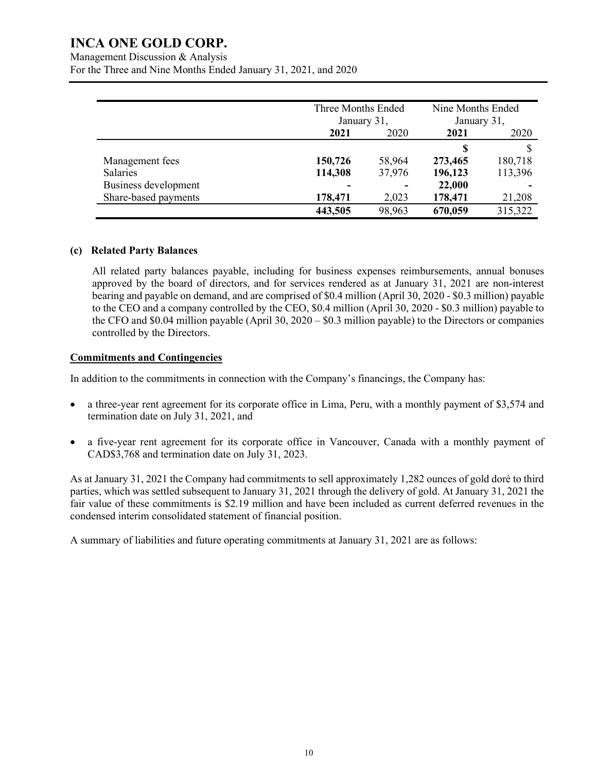Management Discussion & Analysis

For the Three and Nine Months Ended January 31, 2021, and 2020

|                      |         | Three Months Ended<br>January 31, |         | Nine Months Ended<br>January 31, |  |
|----------------------|---------|-----------------------------------|---------|----------------------------------|--|
|                      | 2021    | 2020                              | 2021    | 2020                             |  |
|                      |         |                                   | S       | S                                |  |
| Management fees      | 150,726 | 58,964                            | 273,465 | 180,718                          |  |
| <b>Salaries</b>      | 114,308 | 37,976                            | 196,123 | 113,396                          |  |
| Business development |         |                                   | 22,000  |                                  |  |
| Share-based payments | 178,471 | 2,023                             | 178,471 | 21,208                           |  |
|                      | 443,505 | 98,963                            | 670,059 | 315,322                          |  |

#### **(c) Related Party Balances**

All related party balances payable, including for business expenses reimbursements, annual bonuses approved by the board of directors, and for services rendered as at January 31, 2021 are non-interest bearing and payable on demand, and are comprised of \$0.4 million (April 30, 2020 - \$0.3 million) payable to the CEO and a company controlled by the CEO, \$0.4 million (April 30, 2020 - \$0.3 million) payable to the CFO and \$0.04 million payable (April 30, 2020 – \$0.3 million payable) to the Directors or companies controlled by the Directors.

#### **Commitments and Contingencies**

In addition to the commitments in connection with the Company's financings, the Company has:

- a three-year rent agreement for its corporate office in Lima, Peru, with a monthly payment of \$3,574 and termination date on July 31, 2021, and
- a five-year rent agreement for its corporate office in Vancouver, Canada with a monthly payment of CAD\$3,768 and termination date on July 31, 2023.

As at January 31, 2021 the Company had commitments to sell approximately 1,282 ounces of gold doré to third parties, which was settled subsequent to January 31, 2021 through the delivery of gold. At January 31, 2021 the fair value of these commitments is \$2.19 million and have been included as current deferred revenues in the condensed interim consolidated statement of financial position.

A summary of liabilities and future operating commitments at January 31, 2021 are as follows: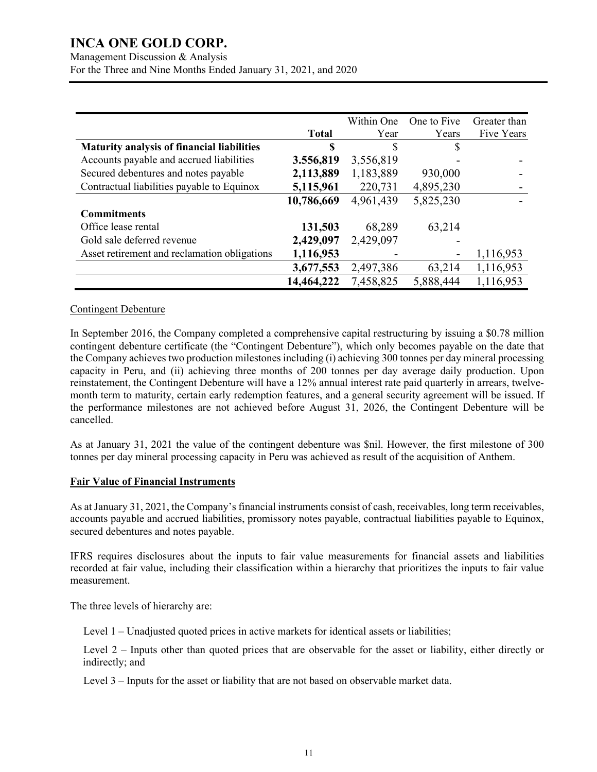Management Discussion & Analysis For the Three and Nine Months Ended January 31, 2021, and 2020

|                                                   |              | Within One | One to Five | Greater than |
|---------------------------------------------------|--------------|------------|-------------|--------------|
|                                                   | <b>Total</b> | Year       | Years       | Five Years   |
| <b>Maturity analysis of financial liabilities</b> | \$           | \$         | S           |              |
| Accounts payable and accrued liabilities          | 3.556,819    | 3,556,819  |             |              |
| Secured debentures and notes payable              | 2,113,889    | 1,183,889  | 930,000     |              |
| Contractual liabilities payable to Equinox        | 5,115,961    | 220,731    | 4,895,230   |              |
|                                                   | 10,786,669   | 4,961,439  | 5,825,230   |              |
| <b>Commitments</b>                                |              |            |             |              |
| Office lease rental                               | 131,503      | 68,289     | 63,214      |              |
| Gold sale deferred revenue                        | 2,429,097    | 2,429,097  |             |              |
| Asset retirement and reclamation obligations      | 1,116,953    |            |             | 1,116,953    |
|                                                   | 3,677,553    | 2,497,386  | 63,214      | 1,116,953    |
|                                                   | 14,464,222   | 7,458,825  | 5,888,444   | 1,116,953    |

#### Contingent Debenture

In September 2016, the Company completed a comprehensive capital restructuring by issuing a \$0.78 million contingent debenture certificate (the "Contingent Debenture"), which only becomes payable on the date that the Company achieves two production milestones including (i) achieving 300 tonnes per day mineral processing capacity in Peru, and (ii) achieving three months of 200 tonnes per day average daily production. Upon reinstatement, the Contingent Debenture will have a 12% annual interest rate paid quarterly in arrears, twelvemonth term to maturity, certain early redemption features, and a general security agreement will be issued. If the performance milestones are not achieved before August 31, 2026, the Contingent Debenture will be cancelled.

As at January 31, 2021 the value of the contingent debenture was \$nil. However, the first milestone of 300 tonnes per day mineral processing capacity in Peru was achieved as result of the acquisition of Anthem.

#### **Fair Value of Financial Instruments**

As at January 31, 2021, the Company's financial instruments consist of cash, receivables, long term receivables, accounts payable and accrued liabilities, promissory notes payable, contractual liabilities payable to Equinox, secured debentures and notes payable.

IFRS requires disclosures about the inputs to fair value measurements for financial assets and liabilities recorded at fair value, including their classification within a hierarchy that prioritizes the inputs to fair value measurement.

The three levels of hierarchy are:

Level 1 – Unadjusted quoted prices in active markets for identical assets or liabilities;

Level 2 – Inputs other than quoted prices that are observable for the asset or liability, either directly or indirectly; and

Level 3 – Inputs for the asset or liability that are not based on observable market data.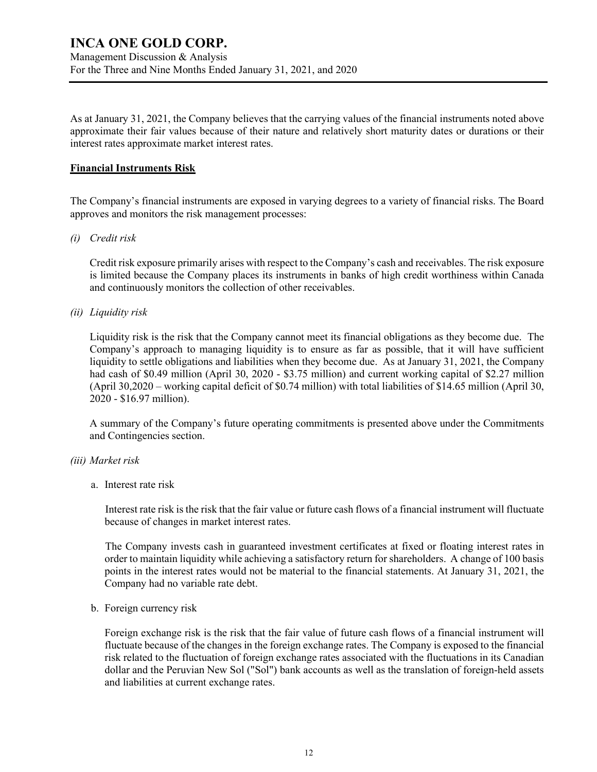As at January 31, 2021, the Company believes that the carrying values of the financial instruments noted above approximate their fair values because of their nature and relatively short maturity dates or durations or their interest rates approximate market interest rates.

#### **Financial Instruments Risk**

The Company's financial instruments are exposed in varying degrees to a variety of financial risks. The Board approves and monitors the risk management processes:

#### *(i) Credit risk*

Credit risk exposure primarily arises with respect to the Company's cash and receivables. The risk exposure is limited because the Company places its instruments in banks of high credit worthiness within Canada and continuously monitors the collection of other receivables.

#### *(ii) Liquidity risk*

Liquidity risk is the risk that the Company cannot meet its financial obligations as they become due. The Company's approach to managing liquidity is to ensure as far as possible, that it will have sufficient liquidity to settle obligations and liabilities when they become due. As at January 31, 2021, the Company had cash of \$0.49 million (April 30, 2020 - \$3.75 million) and current working capital of \$2.27 million (April 30,2020 – working capital deficit of \$0.74 million) with total liabilities of \$14.65 million (April 30, 2020 - \$16.97 million).

A summary of the Company's future operating commitments is presented above under the Commitments and Contingencies section.

#### *(iii) Market risk*

#### a. Interest rate risk

Interest rate risk is the risk that the fair value or future cash flows of a financial instrument will fluctuate because of changes in market interest rates.

The Company invests cash in guaranteed investment certificates at fixed or floating interest rates in order to maintain liquidity while achieving a satisfactory return for shareholders. A change of 100 basis points in the interest rates would not be material to the financial statements. At January 31, 2021, the Company had no variable rate debt.

#### b. Foreign currency risk

Foreign exchange risk is the risk that the fair value of future cash flows of a financial instrument will fluctuate because of the changes in the foreign exchange rates. The Company is exposed to the financial risk related to the fluctuation of foreign exchange rates associated with the fluctuations in its Canadian dollar and the Peruvian New Sol ("Sol") bank accounts as well as the translation of foreign-held assets and liabilities at current exchange rates.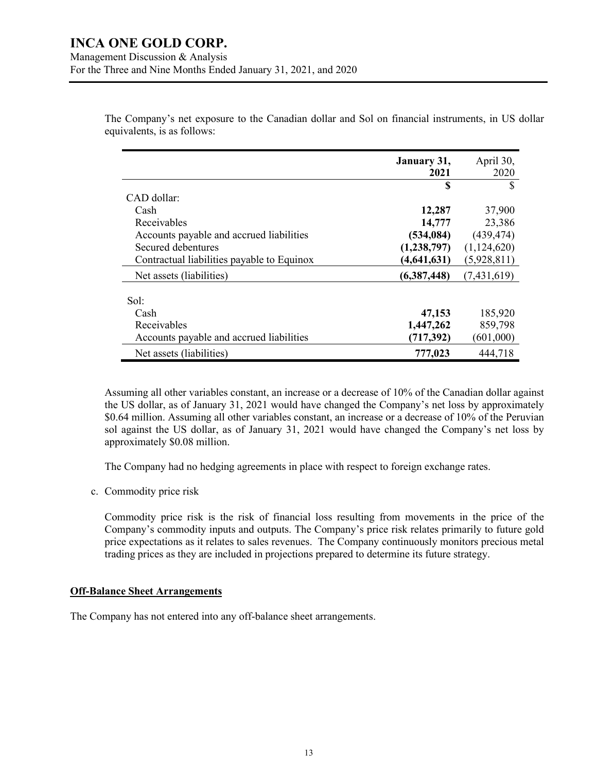The Company's net exposure to the Canadian dollar and Sol on financial instruments, in US dollar equivalents, is as follows:

|                                            | January 31,<br>2021 | April 30,<br>2020 |
|--------------------------------------------|---------------------|-------------------|
|                                            | S                   | S                 |
| CAD dollar:                                |                     |                   |
| Cash                                       | 12,287              | 37,900            |
| Receivables                                | 14,777              | 23,386            |
| Accounts payable and accrued liabilities   | (534, 084)          | (439, 474)        |
| Secured debentures                         | (1,238,797)         | (1,124,620)       |
| Contractual liabilities payable to Equinox | (4, 641, 631)       | (5,928,811)       |
| Net assets (liabilities)                   | (6,387,448)         | (7, 431, 619)     |
| Sol:                                       |                     |                   |
| Cash                                       | 47,153              | 185,920           |
| Receivables                                | 1,447,262           | 859,798           |
| Accounts payable and accrued liabilities   | (717, 392)          | (601,000)         |
| Net assets (liabilities)                   | 777,023             | 444,718           |

Assuming all other variables constant, an increase or a decrease of 10% of the Canadian dollar against the US dollar, as of January 31, 2021 would have changed the Company's net loss by approximately \$0.64 million. Assuming all other variables constant, an increase or a decrease of 10% of the Peruvian sol against the US dollar, as of January 31, 2021 would have changed the Company's net loss by approximately \$0.08 million.

The Company had no hedging agreements in place with respect to foreign exchange rates.

c. Commodity price risk

Commodity price risk is the risk of financial loss resulting from movements in the price of the Company's commodity inputs and outputs. The Company's price risk relates primarily to future gold price expectations as it relates to sales revenues. The Company continuously monitors precious metal trading prices as they are included in projections prepared to determine its future strategy.

#### **Off-Balance Sheet Arrangements**

The Company has not entered into any off-balance sheet arrangements.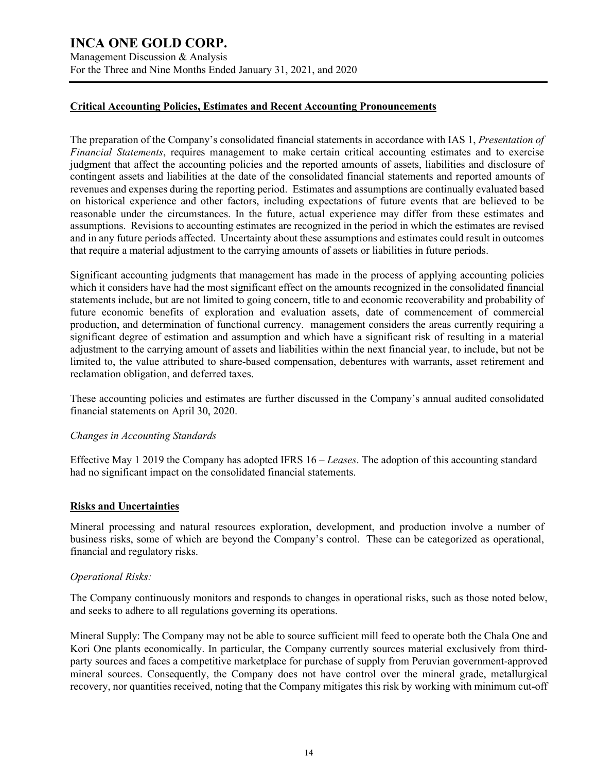Management Discussion & Analysis For the Three and Nine Months Ended January 31, 2021, and 2020

#### **Critical Accounting Policies, Estimates and Recent Accounting Pronouncements**

The preparation of the Company's consolidated financial statements in accordance with IAS 1, *Presentation of Financial Statements*, requires management to make certain critical accounting estimates and to exercise judgment that affect the accounting policies and the reported amounts of assets, liabilities and disclosure of contingent assets and liabilities at the date of the consolidated financial statements and reported amounts of revenues and expenses during the reporting period. Estimates and assumptions are continually evaluated based on historical experience and other factors, including expectations of future events that are believed to be reasonable under the circumstances. In the future, actual experience may differ from these estimates and assumptions. Revisions to accounting estimates are recognized in the period in which the estimates are revised and in any future periods affected. Uncertainty about these assumptions and estimates could result in outcomes that require a material adjustment to the carrying amounts of assets or liabilities in future periods.

Significant accounting judgments that management has made in the process of applying accounting policies which it considers have had the most significant effect on the amounts recognized in the consolidated financial statements include, but are not limited to going concern, title to and economic recoverability and probability of future economic benefits of exploration and evaluation assets, date of commencement of commercial production, and determination of functional currency. management considers the areas currently requiring a significant degree of estimation and assumption and which have a significant risk of resulting in a material adjustment to the carrying amount of assets and liabilities within the next financial year, to include, but not be limited to, the value attributed to share-based compensation, debentures with warrants, asset retirement and reclamation obligation, and deferred taxes.

These accounting policies and estimates are further discussed in the Company's annual audited consolidated financial statements on April 30, 2020.

#### *Changes in Accounting Standards*

Effective May 1 2019 the Company has adopted IFRS 16 – *Leases*. The adoption of this accounting standard had no significant impact on the consolidated financial statements.

#### **Risks and Uncertainties**

Mineral processing and natural resources exploration, development, and production involve a number of business risks, some of which are beyond the Company's control. These can be categorized as operational, financial and regulatory risks.

#### *Operational Risks:*

The Company continuously monitors and responds to changes in operational risks, such as those noted below, and seeks to adhere to all regulations governing its operations.

Mineral Supply: The Company may not be able to source sufficient mill feed to operate both the Chala One and Kori One plants economically. In particular, the Company currently sources material exclusively from thirdparty sources and faces a competitive marketplace for purchase of supply from Peruvian government-approved mineral sources. Consequently, the Company does not have control over the mineral grade, metallurgical recovery, nor quantities received, noting that the Company mitigates this risk by working with minimum cut-off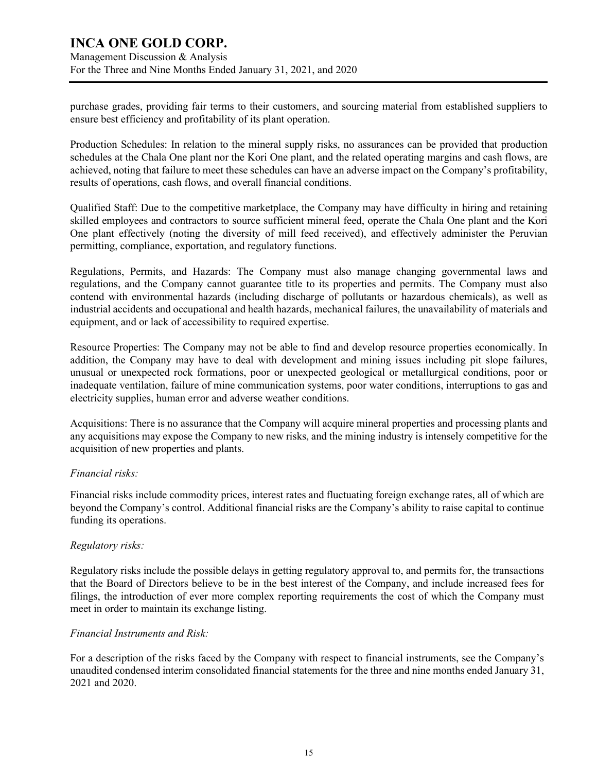### **INCA ONE GOLD CORP.** Management Discussion & Analysis For the Three and Nine Months Ended January 31, 2021, and 2020

purchase grades, providing fair terms to their customers, and sourcing material from established suppliers to ensure best efficiency and profitability of its plant operation.

Production Schedules: In relation to the mineral supply risks, no assurances can be provided that production schedules at the Chala One plant nor the Kori One plant, and the related operating margins and cash flows, are achieved, noting that failure to meet these schedules can have an adverse impact on the Company's profitability, results of operations, cash flows, and overall financial conditions.

Qualified Staff: Due to the competitive marketplace, the Company may have difficulty in hiring and retaining skilled employees and contractors to source sufficient mineral feed, operate the Chala One plant and the Kori One plant effectively (noting the diversity of mill feed received), and effectively administer the Peruvian permitting, compliance, exportation, and regulatory functions.

Regulations, Permits, and Hazards: The Company must also manage changing governmental laws and regulations, and the Company cannot guarantee title to its properties and permits. The Company must also contend with environmental hazards (including discharge of pollutants or hazardous chemicals), as well as industrial accidents and occupational and health hazards, mechanical failures, the unavailability of materials and equipment, and or lack of accessibility to required expertise.

Resource Properties: The Company may not be able to find and develop resource properties economically. In addition, the Company may have to deal with development and mining issues including pit slope failures, unusual or unexpected rock formations, poor or unexpected geological or metallurgical conditions, poor or inadequate ventilation, failure of mine communication systems, poor water conditions, interruptions to gas and electricity supplies, human error and adverse weather conditions.

Acquisitions: There is no assurance that the Company will acquire mineral properties and processing plants and any acquisitions may expose the Company to new risks, and the mining industry is intensely competitive for the acquisition of new properties and plants.

#### *Financial risks:*

Financial risks include commodity prices, interest rates and fluctuating foreign exchange rates, all of which are beyond the Company's control. Additional financial risks are the Company's ability to raise capital to continue funding its operations.

#### *Regulatory risks:*

Regulatory risks include the possible delays in getting regulatory approval to, and permits for, the transactions that the Board of Directors believe to be in the best interest of the Company, and include increased fees for filings, the introduction of ever more complex reporting requirements the cost of which the Company must meet in order to maintain its exchange listing.

#### *Financial Instruments and Risk:*

For a description of the risks faced by the Company with respect to financial instruments, see the Company's unaudited condensed interim consolidated financial statements for the three and nine months ended January 31, 2021 and 2020.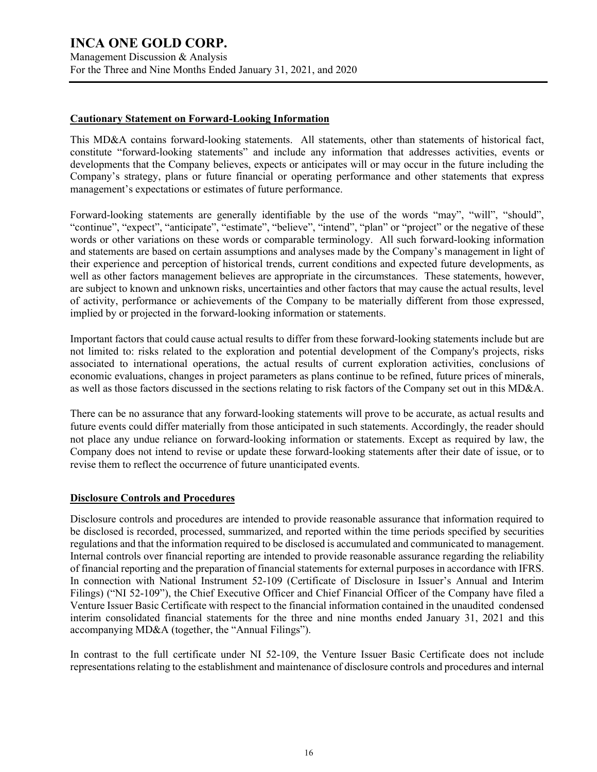Management Discussion & Analysis For the Three and Nine Months Ended January 31, 2021, and 2020

#### **Cautionary Statement on Forward-Looking Information**

This MD&A contains forward-looking statements. All statements, other than statements of historical fact, constitute "forward-looking statements" and include any information that addresses activities, events or developments that the Company believes, expects or anticipates will or may occur in the future including the Company's strategy, plans or future financial or operating performance and other statements that express management's expectations or estimates of future performance.

Forward-looking statements are generally identifiable by the use of the words "may", "will", "should", "continue", "expect", "anticipate", "estimate", "believe", "intend", "plan" or "project" or the negative of these words or other variations on these words or comparable terminology. All such forward-looking information and statements are based on certain assumptions and analyses made by the Company's management in light of their experience and perception of historical trends, current conditions and expected future developments, as well as other factors management believes are appropriate in the circumstances. These statements, however, are subject to known and unknown risks, uncertainties and other factors that may cause the actual results, level of activity, performance or achievements of the Company to be materially different from those expressed, implied by or projected in the forward-looking information or statements.

Important factors that could cause actual results to differ from these forward-looking statements include but are not limited to: risks related to the exploration and potential development of the Company's projects, risks associated to international operations, the actual results of current exploration activities, conclusions of economic evaluations, changes in project parameters as plans continue to be refined, future prices of minerals, as well as those factors discussed in the sections relating to risk factors of the Company set out in this MD&A.

There can be no assurance that any forward-looking statements will prove to be accurate, as actual results and future events could differ materially from those anticipated in such statements. Accordingly, the reader should not place any undue reliance on forward-looking information or statements. Except as required by law, the Company does not intend to revise or update these forward-looking statements after their date of issue, or to revise them to reflect the occurrence of future unanticipated events.

#### **Disclosure Controls and Procedures**

Disclosure controls and procedures are intended to provide reasonable assurance that information required to be disclosed is recorded, processed, summarized, and reported within the time periods specified by securities regulations and that the information required to be disclosed is accumulated and communicated to management. Internal controls over financial reporting are intended to provide reasonable assurance regarding the reliability of financial reporting and the preparation of financial statements for external purposes in accordance with IFRS. In connection with National Instrument 52-109 (Certificate of Disclosure in Issuer's Annual and Interim Filings) ("NI 52-109"), the Chief Executive Officer and Chief Financial Officer of the Company have filed a Venture Issuer Basic Certificate with respect to the financial information contained in the unaudited condensed interim consolidated financial statements for the three and nine months ended January 31, 2021 and this accompanying MD&A (together, the "Annual Filings").

In contrast to the full certificate under NI 52-109, the Venture Issuer Basic Certificate does not include representations relating to the establishment and maintenance of disclosure controls and procedures and internal